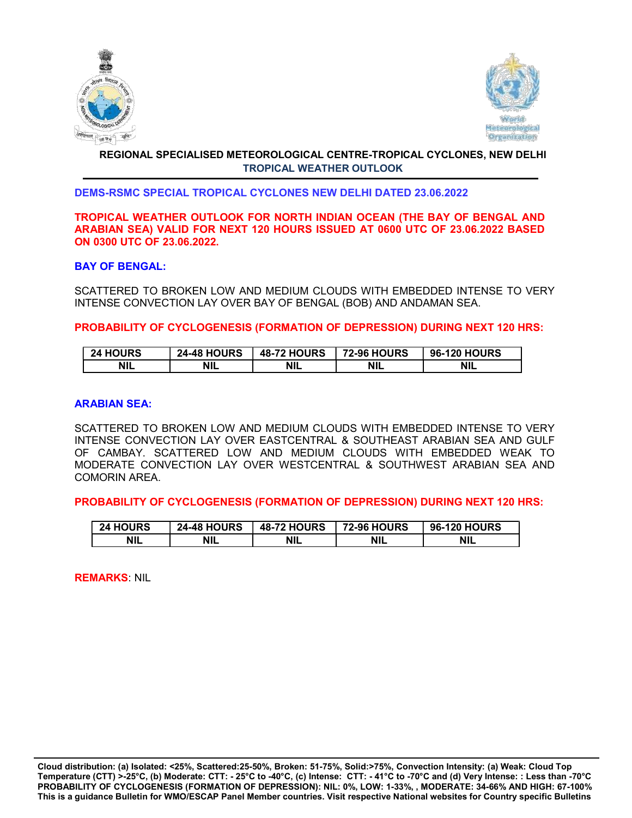



# REGIONAL SPECIALISED METEOROLOGICAL CENTRE-TROPICAL CYCLONES, NEW DELHI TROPICAL WEATHER OUTLOOK

## DEMS-RSMC SPECIAL TROPICAL CYCLONES NEW DELHI DATED 23.06.2022

### TROPICAL WEATHER OUTLOOK FOR NORTH INDIAN OCEAN (THE BAY OF BENGAL AND ARABIAN SEA) VALID FOR NEXT 120 HOURS ISSUED AT 0600 UTC OF 23.06.2022 BASED ON 0300 UTC OF 23.06.2022.

## BAY OF BENGAL:

SCATTERED TO BROKEN LOW AND MEDIUM CLOUDS WITH EMBEDDED INTENSE TO VERY INTENSE CONVECTION LAY OVER BAY OF BENGAL (BOB) AND ANDAMAN SEA.

PROBABILITY OF CYCLOGENESIS (FORMATION OF DEPRESSION) DURING NEXT 120 HRS:

| <b>24 HOURS</b> | <b>24-48 HOURS</b> | <b>48-72 HOURS</b> | <b>72-96 HOURS</b> | <b>96-120 HOURS</b> |
|-----------------|--------------------|--------------------|--------------------|---------------------|
| <b>NIL</b>      | <b>NIL</b>         | <b>NIL</b>         | <b>NIL</b>         | <b>NIL</b>          |

### ARABIAN SEA:

SCATTERED TO BROKEN LOW AND MEDIUM CLOUDS WITH EMBEDDED INTENSE TO VERY INTENSE CONVECTION LAY OVER EASTCENTRAL & SOUTHEAST ARABIAN SEA AND GULF OF CAMBAY. SCATTERED LOW AND MEDIUM CLOUDS WITH EMBEDDED WEAK TO MODERATE CONVECTION LAY OVER WESTCENTRAL & SOUTHWEST ARABIAN SEA AND COMORIN AREA.

PROBABILITY OF CYCLOGENESIS (FORMATION OF DEPRESSION) DURING NEXT 120 HRS:

| <b>24 HOURS</b> | <b>24-48 HOURS</b> | <b>48-72 HOURS</b> | <b>72-96 HOURS</b> | <b>96-120 HOURS</b> |
|-----------------|--------------------|--------------------|--------------------|---------------------|
| <b>NIL</b>      | <b>NIL</b>         | <b>NIL</b>         | <b>NIL</b>         | <b>NIL</b>          |

REMARKS: NIL